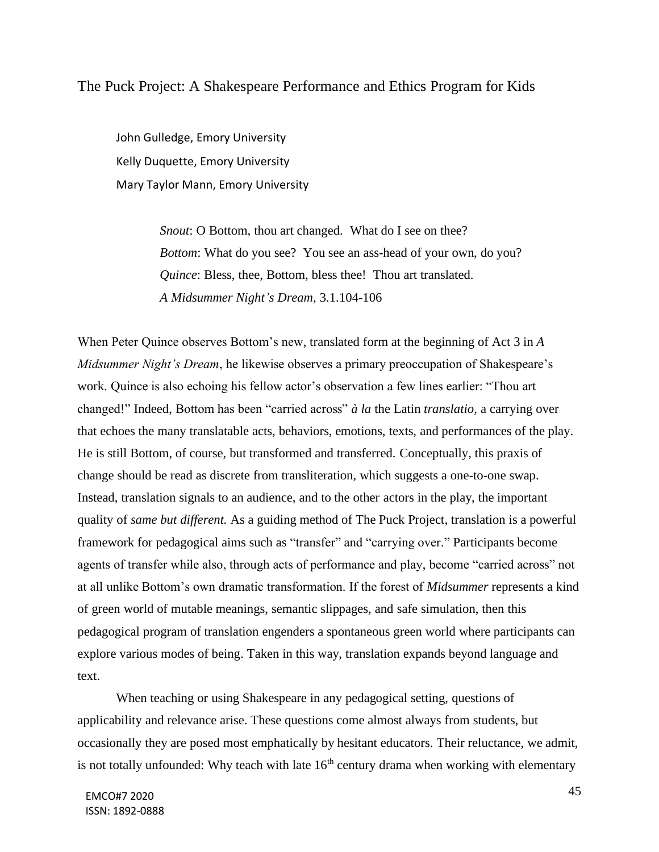# The Puck Project: A Shakespeare Performance and Ethics Program for Kids

John Gulledge, Emory University Kelly Duquette, Emory University Mary Taylor Mann, Emory University

> *Snout*: O Bottom, thou art changed. What do I see on thee? *Bottom*: What do you see? You see an ass-head of your own, do you? *Quince*: Bless, thee, Bottom, bless thee! Thou art translated. *A Midsummer Night's Dream,* 3.1.104-106

When Peter Quince observes Bottom's new, translated form at the beginning of Act 3 in *A Midsummer Night's Dream*, he likewise observes a primary preoccupation of Shakespeare's work. Quince is also echoing his fellow actor's observation a few lines earlier: "Thou art changed!" Indeed, Bottom has been "carried across" *à la* the Latin *translatio,* a carrying over that echoes the many translatable acts, behaviors, emotions, texts, and performances of the play. He is still Bottom, of course, but transformed and transferred. Conceptually, this praxis of change should be read as discrete from transliteration, which suggests a one-to-one swap. Instead, translation signals to an audience, and to the other actors in the play, the important quality of *same but different.* As a guiding method of The Puck Project, translation is a powerful framework for pedagogical aims such as "transfer" and "carrying over." Participants become agents of transfer while also, through acts of performance and play, become "carried across" not at all unlike Bottom's own dramatic transformation. If the forest of *Midsummer* represents a kind of green world of mutable meanings, semantic slippages, and safe simulation, then this pedagogical program of translation engenders a spontaneous green world where participants can explore various modes of being. Taken in this way, translation expands beyond language and text.

When teaching or using Shakespeare in any pedagogical setting, questions of applicability and relevance arise. These questions come almost always from students, but occasionally they are posed most emphatically by hesitant educators. Their reluctance, we admit, is not totally unfounded: Why teach with late  $16<sup>th</sup>$  century drama when working with elementary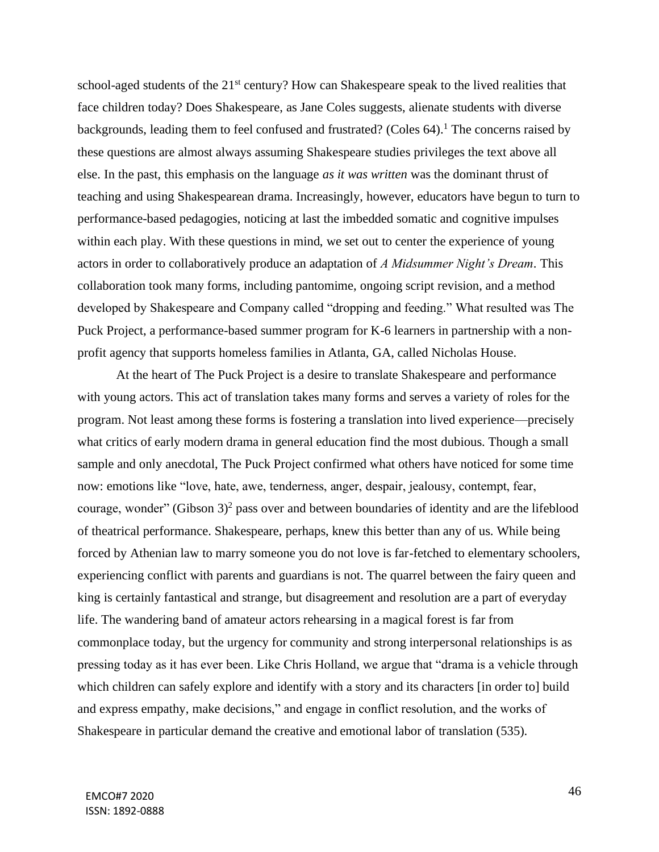school-aged students of the 21<sup>st</sup> century? How can Shakespeare speak to the lived realities that face children today? Does Shakespeare, as Jane Coles suggests, alienate students with diverse backgrounds, leading them to feel confused and frustrated? (Coles  $64$ ).<sup>1</sup> The concerns raised by these questions are almost always assuming Shakespeare studies privileges the text above all else. In the past, this emphasis on the language *as it was written* was the dominant thrust of teaching and using Shakespearean drama. Increasingly, however, educators have begun to turn to performance-based pedagogies, noticing at last the imbedded somatic and cognitive impulses within each play. With these questions in mind, we set out to center the experience of young actors in order to collaboratively produce an adaptation of *A Midsummer Night's Dream*. This collaboration took many forms, including pantomime, ongoing script revision, and a method developed by Shakespeare and Company called "dropping and feeding." What resulted was The Puck Project, a performance-based summer program for K-6 learners in partnership with a nonprofit agency that supports homeless families in Atlanta, GA, called Nicholas House.

At the heart of The Puck Project is a desire to translate Shakespeare and performance with young actors. This act of translation takes many forms and serves a variety of roles for the program. Not least among these forms is fostering a translation into lived experience—precisely what critics of early modern drama in general education find the most dubious. Though a small sample and only anecdotal, The Puck Project confirmed what others have noticed for some time now: emotions like "love, hate, awe, tenderness, anger, despair, jealousy, contempt, fear, courage, wonder" (Gibson  $3)^2$  pass over and between boundaries of identity and are the lifeblood of theatrical performance. Shakespeare, perhaps, knew this better than any of us. While being forced by Athenian law to marry someone you do not love is far-fetched to elementary schoolers, experiencing conflict with parents and guardians is not. The quarrel between the fairy queen and king is certainly fantastical and strange, but disagreement and resolution are a part of everyday life. The wandering band of amateur actors rehearsing in a magical forest is far from commonplace today, but the urgency for community and strong interpersonal relationships is as pressing today as it has ever been. Like Chris Holland, we argue that "drama is a vehicle through which children can safely explore and identify with a story and its characters [in order to] build and express empathy, make decisions," and engage in conflict resolution, and the works of Shakespeare in particular demand the creative and emotional labor of translation (535).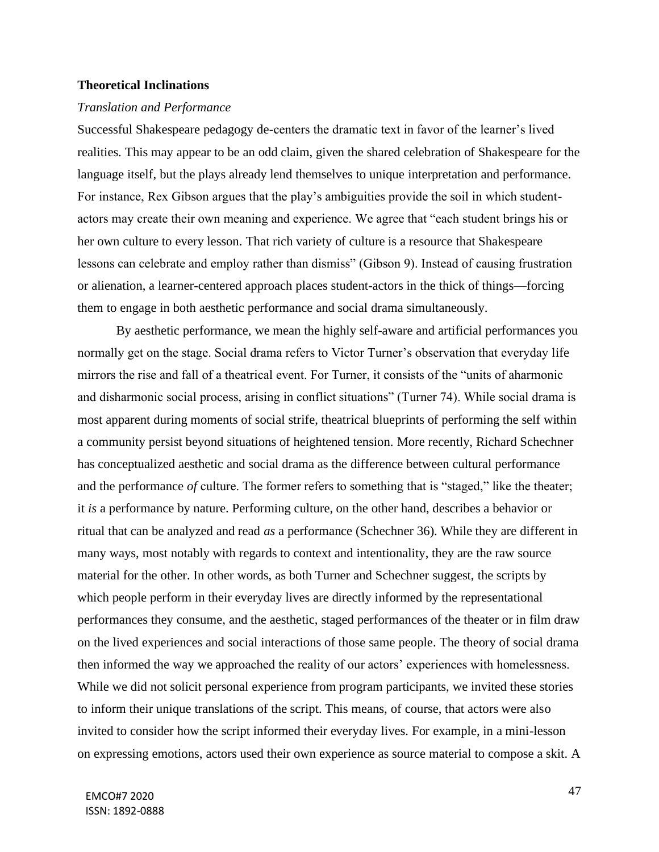## **Theoretical Inclinations**

### *Translation and Performance*

Successful Shakespeare pedagogy de-centers the dramatic text in favor of the learner's lived realities. This may appear to be an odd claim, given the shared celebration of Shakespeare for the language itself, but the plays already lend themselves to unique interpretation and performance. For instance, Rex Gibson argues that the play's ambiguities provide the soil in which studentactors may create their own meaning and experience. We agree that "each student brings his or her own culture to every lesson. That rich variety of culture is a resource that Shakespeare lessons can celebrate and employ rather than dismiss" (Gibson 9). Instead of causing frustration or alienation, a learner-centered approach places student-actors in the thick of things—forcing them to engage in both aesthetic performance and social drama simultaneously.

By aesthetic performance, we mean the highly self-aware and artificial performances you normally get on the stage. Social drama refers to Victor Turner's observation that everyday life mirrors the rise and fall of a theatrical event. For Turner, it consists of the "units of aharmonic and disharmonic social process, arising in conflict situations" (Turner 74). While social drama is most apparent during moments of social strife, theatrical blueprints of performing the self within a community persist beyond situations of heightened tension. More recently, Richard Schechner has conceptualized aesthetic and social drama as the difference between cultural performance and the performance *of* culture. The former refers to something that is "staged," like the theater; it *is* a performance by nature. Performing culture, on the other hand, describes a behavior or ritual that can be analyzed and read *as* a performance (Schechner 36). While they are different in many ways, most notably with regards to context and intentionality, they are the raw source material for the other. In other words, as both Turner and Schechner suggest, the scripts by which people perform in their everyday lives are directly informed by the representational performances they consume, and the aesthetic, staged performances of the theater or in film draw on the lived experiences and social interactions of those same people. The theory of social drama then informed the way we approached the reality of our actors' experiences with homelessness. While we did not solicit personal experience from program participants, we invited these stories to inform their unique translations of the script. This means, of course, that actors were also invited to consider how the script informed their everyday lives. For example, in a mini-lesson on expressing emotions, actors used their own experience as source material to compose a skit. A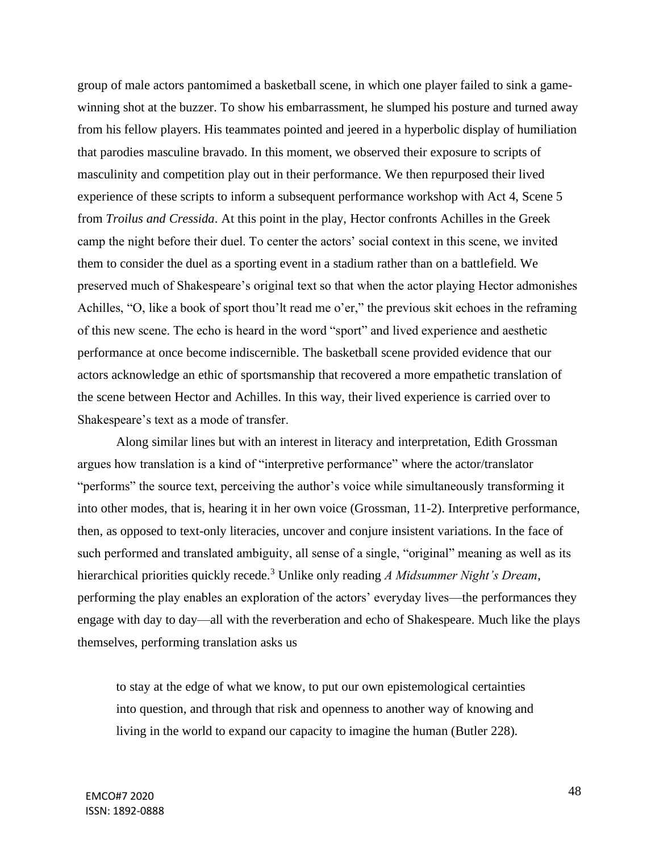group of male actors pantomimed a basketball scene, in which one player failed to sink a gamewinning shot at the buzzer. To show his embarrassment, he slumped his posture and turned away from his fellow players. His teammates pointed and jeered in a hyperbolic display of humiliation that parodies masculine bravado. In this moment, we observed their exposure to scripts of masculinity and competition play out in their performance. We then repurposed their lived experience of these scripts to inform a subsequent performance workshop with Act 4, Scene 5 from *Troilus and Cressida*. At this point in the play, Hector confronts Achilles in the Greek camp the night before their duel. To center the actors' social context in this scene, we invited them to consider the duel as a sporting event in a stadium rather than on a battlefield. We preserved much of Shakespeare's original text so that when the actor playing Hector admonishes Achilles, "O, like a book of sport thou'lt read me o'er," the previous skit echoes in the reframing of this new scene. The echo is heard in the word "sport" and lived experience and aesthetic performance at once become indiscernible. The basketball scene provided evidence that our actors acknowledge an ethic of sportsmanship that recovered a more empathetic translation of the scene between Hector and Achilles. In this way, their lived experience is carried over to Shakespeare's text as a mode of transfer.

Along similar lines but with an interest in literacy and interpretation, Edith Grossman argues how translation is a kind of "interpretive performance" where the actor/translator "performs" the source text, perceiving the author's voice while simultaneously transforming it into other modes, that is, hearing it in her own voice (Grossman, 11-2). Interpretive performance, then, as opposed to text-only literacies, uncover and conjure insistent variations. In the face of such performed and translated ambiguity, all sense of a single, "original" meaning as well as its hierarchical priorities quickly recede.<sup>3</sup> Unlike only reading *A Midsummer Night's Dream*, performing the play enables an exploration of the actors' everyday lives—the performances they engage with day to day—all with the reverberation and echo of Shakespeare. Much like the plays themselves, performing translation asks us

to stay at the edge of what we know, to put our own epistemological certainties into question, and through that risk and openness to another way of knowing and living in the world to expand our capacity to imagine the human (Butler 228).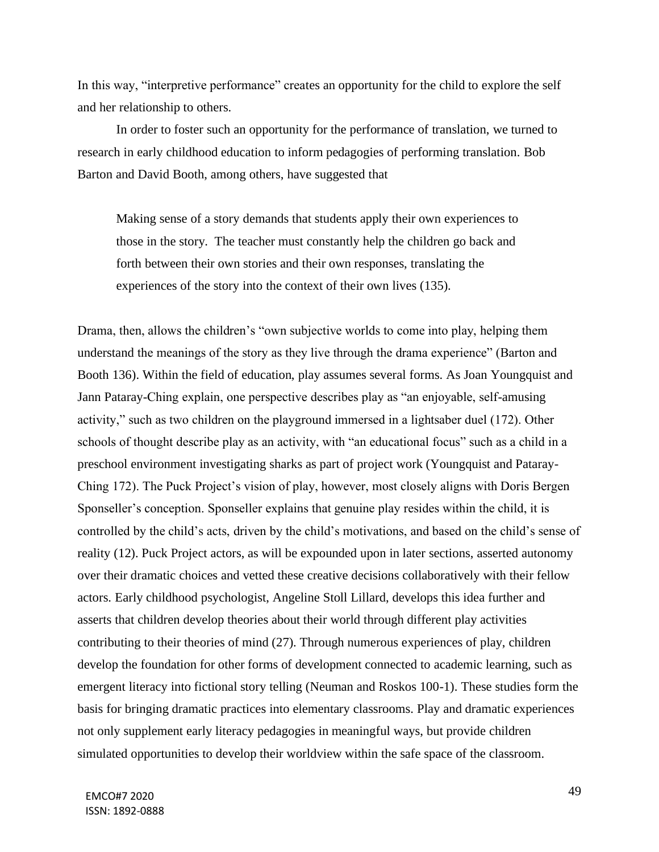In this way, "interpretive performance" creates an opportunity for the child to explore the self and her relationship to others.

In order to foster such an opportunity for the performance of translation, we turned to research in early childhood education to inform pedagogies of performing translation. Bob Barton and David Booth, among others, have suggested that

Making sense of a story demands that students apply their own experiences to those in the story. The teacher must constantly help the children go back and forth between their own stories and their own responses, translating the experiences of the story into the context of their own lives (135).

Drama, then, allows the children's "own subjective worlds to come into play, helping them understand the meanings of the story as they live through the drama experience" (Barton and Booth 136). Within the field of education, play assumes several forms. As Joan Youngquist and Jann Pataray-Ching explain, one perspective describes play as "an enjoyable, self-amusing activity," such as two children on the playground immersed in a lightsaber duel (172). Other schools of thought describe play as an activity, with "an educational focus" such as a child in a preschool environment investigating sharks as part of project work (Youngquist and Pataray-Ching 172). The Puck Project's vision of play, however, most closely aligns with Doris Bergen Sponseller's conception. Sponseller explains that genuine play resides within the child, it is controlled by the child's acts, driven by the child's motivations, and based on the child's sense of reality (12). Puck Project actors, as will be expounded upon in later sections, asserted autonomy over their dramatic choices and vetted these creative decisions collaboratively with their fellow actors. Early childhood psychologist, Angeline Stoll Lillard, develops this idea further and asserts that children develop theories about their world through different play activities contributing to their theories of mind (27). Through numerous experiences of play, children develop the foundation for other forms of development connected to academic learning, such as emergent literacy into fictional story telling (Neuman and Roskos 100-1). These studies form the basis for bringing dramatic practices into elementary classrooms. Play and dramatic experiences not only supplement early literacy pedagogies in meaningful ways, but provide children simulated opportunities to develop their worldview within the safe space of the classroom.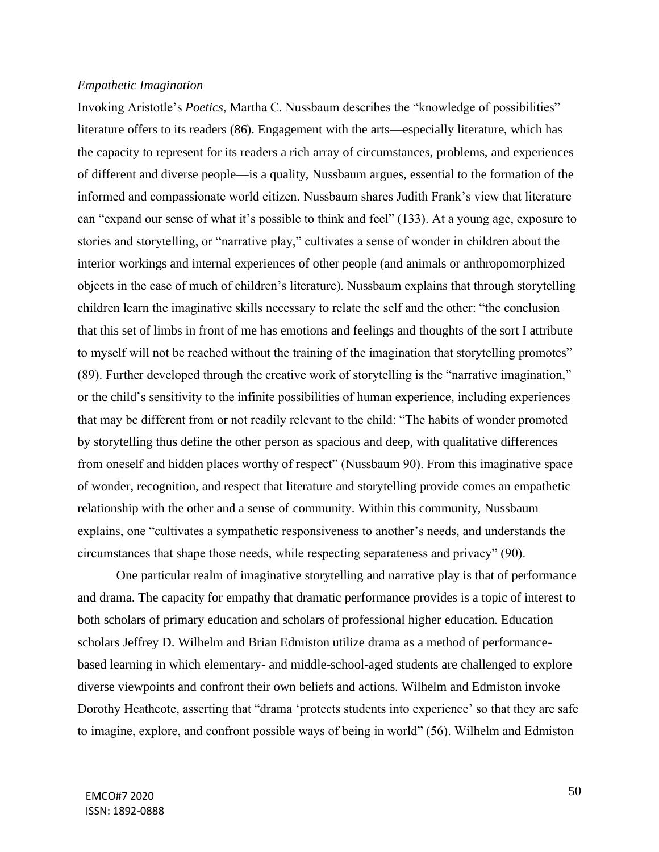### *Empathetic Imagination*

Invoking Aristotle's *Poetics*, Martha C. Nussbaum describes the "knowledge of possibilities" literature offers to its readers (86). Engagement with the arts—especially literature, which has the capacity to represent for its readers a rich array of circumstances, problems, and experiences of different and diverse people—is a quality, Nussbaum argues, essential to the formation of the informed and compassionate world citizen. Nussbaum shares Judith Frank's view that literature can "expand our sense of what it's possible to think and feel" (133). At a young age, exposure to stories and storytelling, or "narrative play," cultivates a sense of wonder in children about the interior workings and internal experiences of other people (and animals or anthropomorphized objects in the case of much of children's literature). Nussbaum explains that through storytelling children learn the imaginative skills necessary to relate the self and the other: "the conclusion that this set of limbs in front of me has emotions and feelings and thoughts of the sort I attribute to myself will not be reached without the training of the imagination that storytelling promotes" (89). Further developed through the creative work of storytelling is the "narrative imagination," or the child's sensitivity to the infinite possibilities of human experience, including experiences that may be different from or not readily relevant to the child: "The habits of wonder promoted by storytelling thus define the other person as spacious and deep, with qualitative differences from oneself and hidden places worthy of respect" (Nussbaum 90). From this imaginative space of wonder, recognition, and respect that literature and storytelling provide comes an empathetic relationship with the other and a sense of community. Within this community, Nussbaum explains, one "cultivates a sympathetic responsiveness to another's needs, and understands the circumstances that shape those needs, while respecting separateness and privacy" (90).

One particular realm of imaginative storytelling and narrative play is that of performance and drama. The capacity for empathy that dramatic performance provides is a topic of interest to both scholars of primary education and scholars of professional higher education. Education scholars Jeffrey D. Wilhelm and Brian Edmiston utilize drama as a method of performancebased learning in which elementary- and middle-school-aged students are challenged to explore diverse viewpoints and confront their own beliefs and actions. Wilhelm and Edmiston invoke Dorothy Heathcote, asserting that "drama 'protects students into experience' so that they are safe to imagine, explore, and confront possible ways of being in world" (56). Wilhelm and Edmiston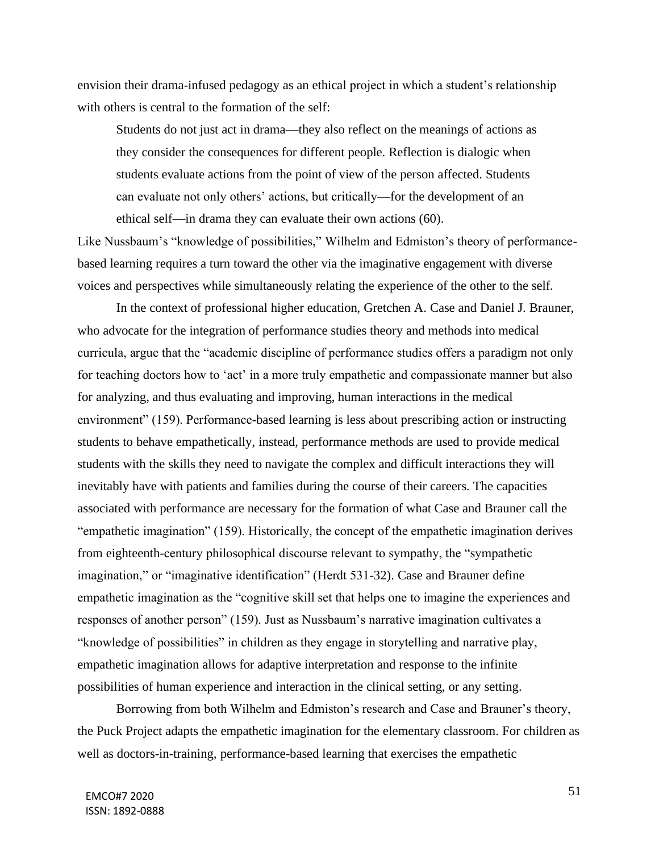envision their drama-infused pedagogy as an ethical project in which a student's relationship with others is central to the formation of the self:

Students do not just act in drama—they also reflect on the meanings of actions as they consider the consequences for different people. Reflection is dialogic when students evaluate actions from the point of view of the person affected. Students can evaluate not only others' actions, but critically—for the development of an ethical self—in drama they can evaluate their own actions (60).

Like Nussbaum's "knowledge of possibilities," Wilhelm and Edmiston's theory of performancebased learning requires a turn toward the other via the imaginative engagement with diverse voices and perspectives while simultaneously relating the experience of the other to the self.

In the context of professional higher education, Gretchen A. Case and Daniel J. Brauner, who advocate for the integration of performance studies theory and methods into medical curricula, argue that the "academic discipline of performance studies offers a paradigm not only for teaching doctors how to 'act' in a more truly empathetic and compassionate manner but also for analyzing, and thus evaluating and improving, human interactions in the medical environment" (159). Performance-based learning is less about prescribing action or instructing students to behave empathetically, instead, performance methods are used to provide medical students with the skills they need to navigate the complex and difficult interactions they will inevitably have with patients and families during the course of their careers. The capacities associated with performance are necessary for the formation of what Case and Brauner call the "empathetic imagination" (159). Historically, the concept of the empathetic imagination derives from eighteenth-century philosophical discourse relevant to sympathy, the "sympathetic imagination," or "imaginative identification" (Herdt 531-32). Case and Brauner define empathetic imagination as the "cognitive skill set that helps one to imagine the experiences and responses of another person" (159). Just as Nussbaum's narrative imagination cultivates a "knowledge of possibilities" in children as they engage in storytelling and narrative play, empathetic imagination allows for adaptive interpretation and response to the infinite possibilities of human experience and interaction in the clinical setting, or any setting.

Borrowing from both Wilhelm and Edmiston's research and Case and Brauner's theory, the Puck Project adapts the empathetic imagination for the elementary classroom. For children as well as doctors-in-training, performance-based learning that exercises the empathetic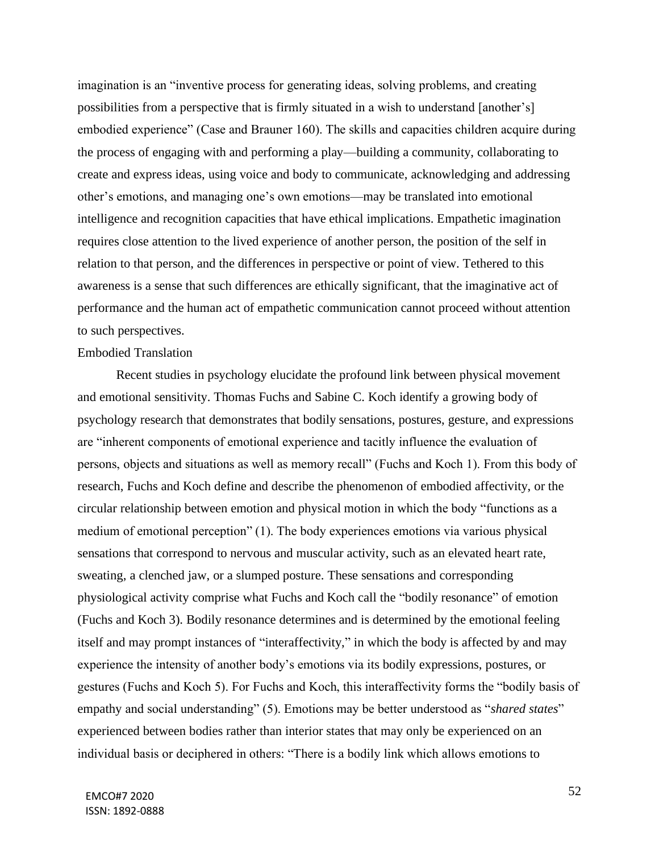imagination is an "inventive process for generating ideas, solving problems, and creating possibilities from a perspective that is firmly situated in a wish to understand [another's] embodied experience" (Case and Brauner 160). The skills and capacities children acquire during the process of engaging with and performing a play—building a community, collaborating to create and express ideas, using voice and body to communicate, acknowledging and addressing other's emotions, and managing one's own emotions—may be translated into emotional intelligence and recognition capacities that have ethical implications. Empathetic imagination requires close attention to the lived experience of another person, the position of the self in relation to that person, and the differences in perspective or point of view. Tethered to this awareness is a sense that such differences are ethically significant, that the imaginative act of performance and the human act of empathetic communication cannot proceed without attention to such perspectives.

### Embodied Translation

Recent studies in psychology elucidate the profound link between physical movement and emotional sensitivity. Thomas Fuchs and Sabine C. Koch identify a growing body of psychology research that demonstrates that bodily sensations, postures, gesture, and expressions are "inherent components of emotional experience and tacitly influence the evaluation of persons, objects and situations as well as memory recall" (Fuchs and Koch 1). From this body of research, Fuchs and Koch define and describe the phenomenon of embodied affectivity, or the circular relationship between emotion and physical motion in which the body "functions as a medium of emotional perception" (1). The body experiences emotions via various physical sensations that correspond to nervous and muscular activity, such as an elevated heart rate, sweating, a clenched jaw, or a slumped posture. These sensations and corresponding physiological activity comprise what Fuchs and Koch call the "bodily resonance" of emotion (Fuchs and Koch 3). Bodily resonance determines and is determined by the emotional feeling itself and may prompt instances of "interaffectivity," in which the body is affected by and may experience the intensity of another body's emotions via its bodily expressions, postures, or gestures (Fuchs and Koch 5). For Fuchs and Koch, this interaffectivity forms the "bodily basis of empathy and social understanding" (5). Emotions may be better understood as "*shared states*" experienced between bodies rather than interior states that may only be experienced on an individual basis or deciphered in others: "There is a bodily link which allows emotions to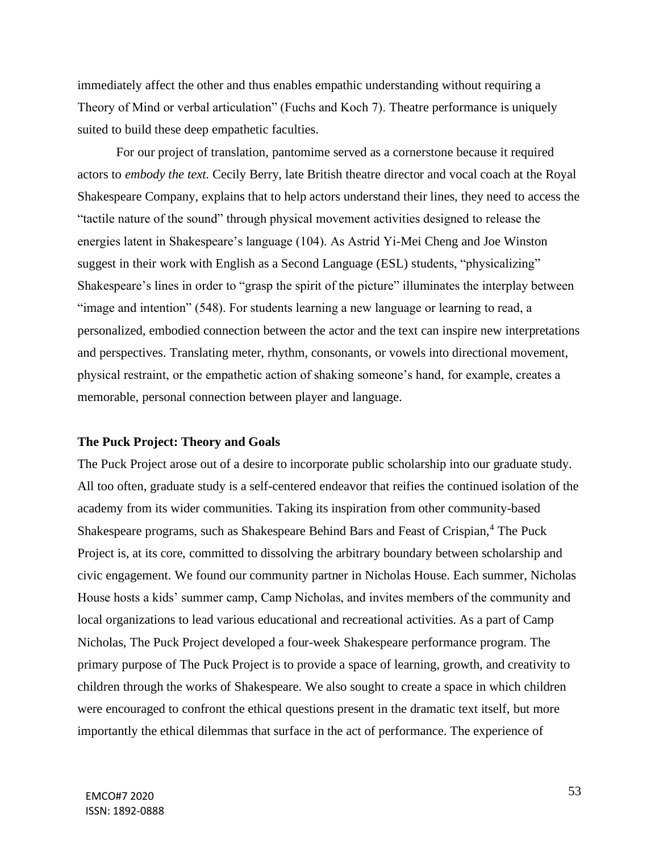immediately affect the other and thus enables empathic understanding without requiring a Theory of Mind or verbal articulation" (Fuchs and Koch 7). Theatre performance is uniquely suited to build these deep empathetic faculties.

For our project of translation, pantomime served as a cornerstone because it required actors to *embody the text*. Cecily Berry, late British theatre director and vocal coach at the Royal Shakespeare Company, explains that to help actors understand their lines, they need to access the "tactile nature of the sound" through physical movement activities designed to release the energies latent in Shakespeare's language (104). As Astrid Yi-Mei Cheng and Joe Winston suggest in their work with English as a Second Language (ESL) students, "physicalizing" Shakespeare's lines in order to "grasp the spirit of the picture" illuminates the interplay between "image and intention" (548). For students learning a new language or learning to read, a personalized, embodied connection between the actor and the text can inspire new interpretations and perspectives. Translating meter, rhythm, consonants, or vowels into directional movement, physical restraint, or the empathetic action of shaking someone's hand, for example, creates a memorable, personal connection between player and language.

## **The Puck Project: Theory and Goals**

The Puck Project arose out of a desire to incorporate public scholarship into our graduate study. All too often, graduate study is a self-centered endeavor that reifies the continued isolation of the academy from its wider communities. Taking its inspiration from other community-based Shakespeare programs, such as Shakespeare Behind Bars and Feast of Crispian,<sup>4</sup> The Puck Project is, at its core, committed to dissolving the arbitrary boundary between scholarship and civic engagement. We found our community partner in Nicholas House. Each summer, Nicholas House hosts a kids' summer camp, Camp Nicholas, and invites members of the community and local organizations to lead various educational and recreational activities. As a part of Camp Nicholas, The Puck Project developed a four-week Shakespeare performance program. The primary purpose of The Puck Project is to provide a space of learning, growth, and creativity to children through the works of Shakespeare. We also sought to create a space in which children were encouraged to confront the ethical questions present in the dramatic text itself, but more importantly the ethical dilemmas that surface in the act of performance. The experience of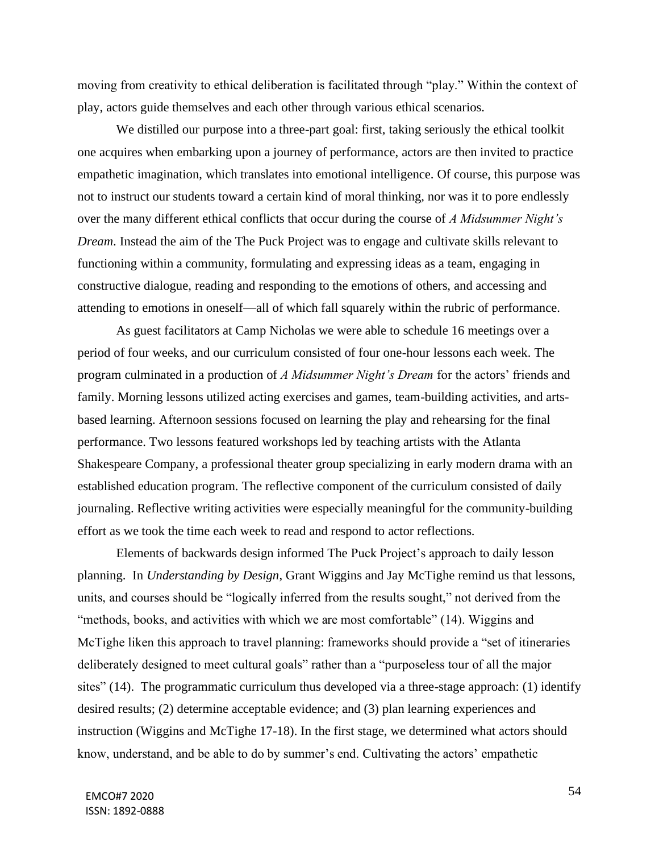moving from creativity to ethical deliberation is facilitated through "play." Within the context of play, actors guide themselves and each other through various ethical scenarios.

We distilled our purpose into a three-part goal: first, taking seriously the ethical toolkit one acquires when embarking upon a journey of performance, actors are then invited to practice empathetic imagination, which translates into emotional intelligence. Of course, this purpose was not to instruct our students toward a certain kind of moral thinking, nor was it to pore endlessly over the many different ethical conflicts that occur during the course of *A Midsummer Night's Dream*. Instead the aim of the The Puck Project was to engage and cultivate skills relevant to functioning within a community, formulating and expressing ideas as a team, engaging in constructive dialogue, reading and responding to the emotions of others, and accessing and attending to emotions in oneself—all of which fall squarely within the rubric of performance.

As guest facilitators at Camp Nicholas we were able to schedule 16 meetings over a period of four weeks, and our curriculum consisted of four one-hour lessons each week. The program culminated in a production of *A Midsummer Night's Dream* for the actors' friends and family. Morning lessons utilized acting exercises and games, team-building activities, and artsbased learning. Afternoon sessions focused on learning the play and rehearsing for the final performance. Two lessons featured workshops led by teaching artists with the Atlanta Shakespeare Company, a professional theater group specializing in early modern drama with an established education program. The reflective component of the curriculum consisted of daily journaling. Reflective writing activities were especially meaningful for the community-building effort as we took the time each week to read and respond to actor reflections.

Elements of backwards design informed The Puck Project's approach to daily lesson planning. In *Understanding by Design*, Grant Wiggins and Jay McTighe remind us that lessons, units, and courses should be "logically inferred from the results sought," not derived from the "methods, books, and activities with which we are most comfortable" (14). Wiggins and McTighe liken this approach to travel planning: frameworks should provide a "set of itineraries deliberately designed to meet cultural goals" rather than a "purposeless tour of all the major sites" (14). The programmatic curriculum thus developed via a three-stage approach: (1) identify desired results; (2) determine acceptable evidence; and (3) plan learning experiences and instruction (Wiggins and McTighe 17-18). In the first stage, we determined what actors should know, understand, and be able to do by summer's end. Cultivating the actors' empathetic

54 EMCO#7 2020 ISSN: 1892-0888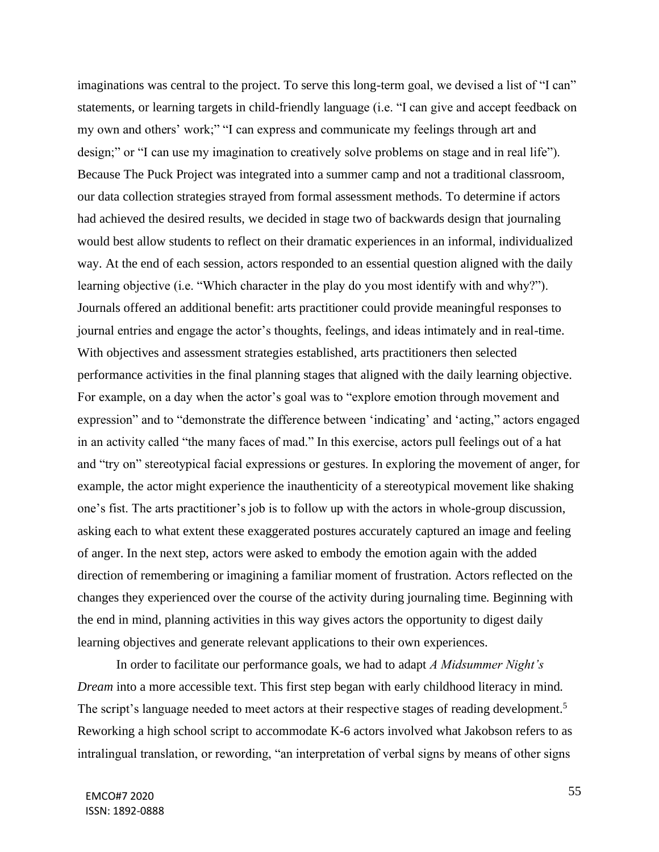imaginations was central to the project. To serve this long-term goal, we devised a list of "I can" statements, or learning targets in child-friendly language (i.e. "I can give and accept feedback on my own and others' work;" "I can express and communicate my feelings through art and design;" or "I can use my imagination to creatively solve problems on stage and in real life"). Because The Puck Project was integrated into a summer camp and not a traditional classroom, our data collection strategies strayed from formal assessment methods. To determine if actors had achieved the desired results, we decided in stage two of backwards design that journaling would best allow students to reflect on their dramatic experiences in an informal, individualized way. At the end of each session, actors responded to an essential question aligned with the daily learning objective (i.e. "Which character in the play do you most identify with and why?"). Journals offered an additional benefit: arts practitioner could provide meaningful responses to journal entries and engage the actor's thoughts, feelings, and ideas intimately and in real-time. With objectives and assessment strategies established, arts practitioners then selected performance activities in the final planning stages that aligned with the daily learning objective. For example, on a day when the actor's goal was to "explore emotion through movement and expression" and to "demonstrate the difference between 'indicating' and 'acting," actors engaged in an activity called "the many faces of mad." In this exercise, actors pull feelings out of a hat and "try on" stereotypical facial expressions or gestures. In exploring the movement of anger, for example, the actor might experience the inauthenticity of a stereotypical movement like shaking one's fist. The arts practitioner's job is to follow up with the actors in whole-group discussion, asking each to what extent these exaggerated postures accurately captured an image and feeling of anger. In the next step, actors were asked to embody the emotion again with the added direction of remembering or imagining a familiar moment of frustration. Actors reflected on the changes they experienced over the course of the activity during journaling time. Beginning with the end in mind, planning activities in this way gives actors the opportunity to digest daily learning objectives and generate relevant applications to their own experiences.

In order to facilitate our performance goals, we had to adapt *A Midsummer Night's Dream* into a more accessible text. This first step began with early childhood literacy in mind. The script's language needed to meet actors at their respective stages of reading development.<sup>5</sup> Reworking a high school script to accommodate K-6 actors involved what Jakobson refers to as intralingual translation, or rewording, "an interpretation of verbal signs by means of other signs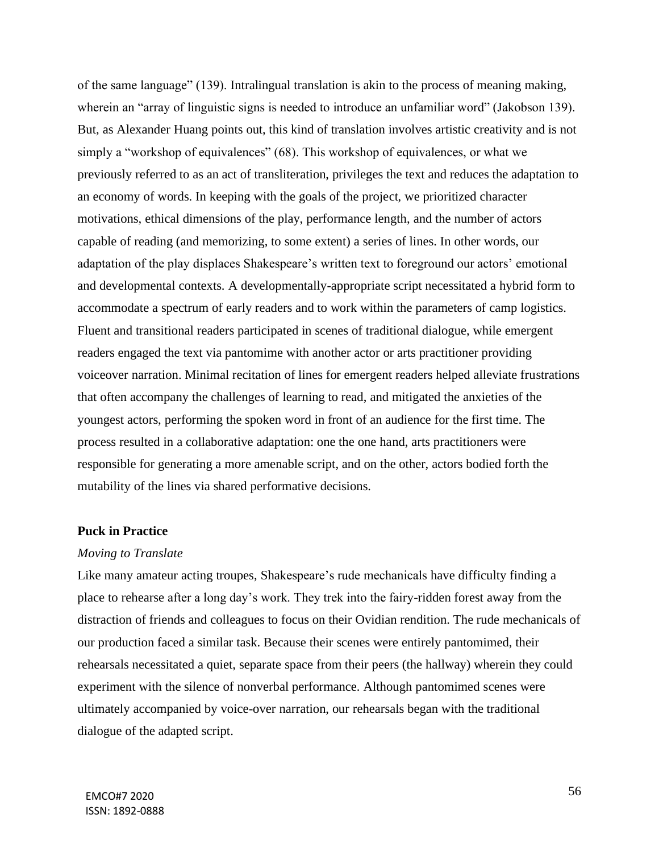of the same language" (139). Intralingual translation is akin to the process of meaning making, wherein an "array of linguistic signs is needed to introduce an unfamiliar word" (Jakobson 139). But, as Alexander Huang points out, this kind of translation involves artistic creativity and is not simply a "workshop of equivalences" (68). This workshop of equivalences, or what we previously referred to as an act of transliteration, privileges the text and reduces the adaptation to an economy of words. In keeping with the goals of the project, we prioritized character motivations, ethical dimensions of the play, performance length, and the number of actors capable of reading (and memorizing, to some extent) a series of lines. In other words, our adaptation of the play displaces Shakespeare's written text to foreground our actors' emotional and developmental contexts. A developmentally-appropriate script necessitated a hybrid form to accommodate a spectrum of early readers and to work within the parameters of camp logistics. Fluent and transitional readers participated in scenes of traditional dialogue, while emergent readers engaged the text via pantomime with another actor or arts practitioner providing voiceover narration. Minimal recitation of lines for emergent readers helped alleviate frustrations that often accompany the challenges of learning to read, and mitigated the anxieties of the youngest actors, performing the spoken word in front of an audience for the first time. The process resulted in a collaborative adaptation: one the one hand, arts practitioners were responsible for generating a more amenable script, and on the other, actors bodied forth the mutability of the lines via shared performative decisions.

#### **Puck in Practice**

#### *Moving to Translate*

Like many amateur acting troupes, Shakespeare's rude mechanicals have difficulty finding a place to rehearse after a long day's work. They trek into the fairy-ridden forest away from the distraction of friends and colleagues to focus on their Ovidian rendition. The rude mechanicals of our production faced a similar task. Because their scenes were entirely pantomimed, their rehearsals necessitated a quiet, separate space from their peers (the hallway) wherein they could experiment with the silence of nonverbal performance. Although pantomimed scenes were ultimately accompanied by voice-over narration, our rehearsals began with the traditional dialogue of the adapted script.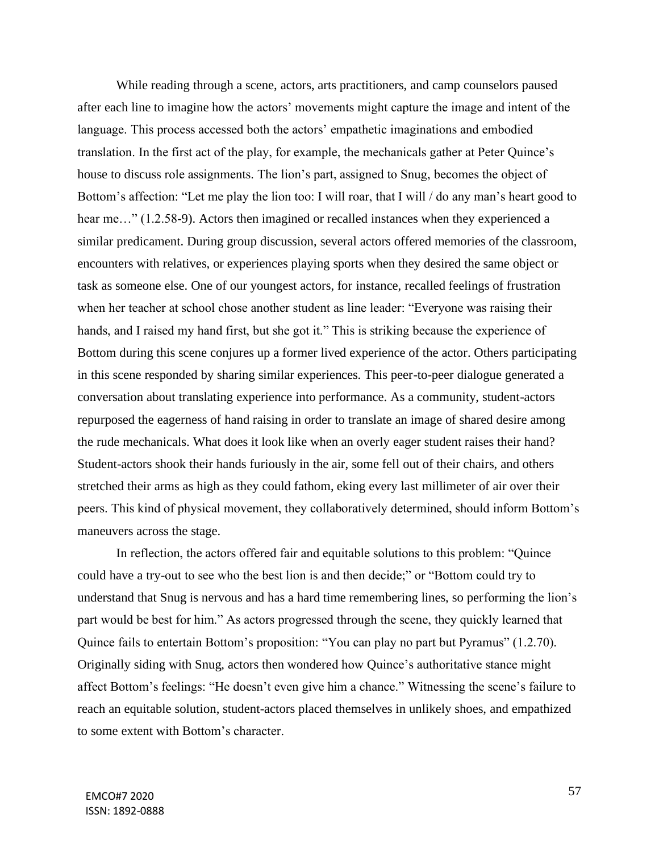While reading through a scene, actors, arts practitioners, and camp counselors paused after each line to imagine how the actors' movements might capture the image and intent of the language. This process accessed both the actors' empathetic imaginations and embodied translation. In the first act of the play, for example, the mechanicals gather at Peter Quince's house to discuss role assignments. The lion's part, assigned to Snug, becomes the object of Bottom's affection: "Let me play the lion too: I will roar, that I will / do any man's heart good to hear me..." (1.2.58-9). Actors then imagined or recalled instances when they experienced a similar predicament. During group discussion, several actors offered memories of the classroom, encounters with relatives, or experiences playing sports when they desired the same object or task as someone else. One of our youngest actors, for instance, recalled feelings of frustration when her teacher at school chose another student as line leader: "Everyone was raising their hands, and I raised my hand first, but she got it." This is striking because the experience of Bottom during this scene conjures up a former lived experience of the actor. Others participating in this scene responded by sharing similar experiences. This peer-to-peer dialogue generated a conversation about translating experience into performance. As a community, student-actors repurposed the eagerness of hand raising in order to translate an image of shared desire among the rude mechanicals. What does it look like when an overly eager student raises their hand? Student-actors shook their hands furiously in the air, some fell out of their chairs, and others stretched their arms as high as they could fathom, eking every last millimeter of air over their peers. This kind of physical movement, they collaboratively determined, should inform Bottom's maneuvers across the stage.

In reflection, the actors offered fair and equitable solutions to this problem: "Quince could have a try-out to see who the best lion is and then decide;" or "Bottom could try to understand that Snug is nervous and has a hard time remembering lines, so performing the lion's part would be best for him." As actors progressed through the scene, they quickly learned that Quince fails to entertain Bottom's proposition: "You can play no part but Pyramus" (1.2.70). Originally siding with Snug, actors then wondered how Quince's authoritative stance might affect Bottom's feelings: "He doesn't even give him a chance." Witnessing the scene's failure to reach an equitable solution, student-actors placed themselves in unlikely shoes, and empathized to some extent with Bottom's character.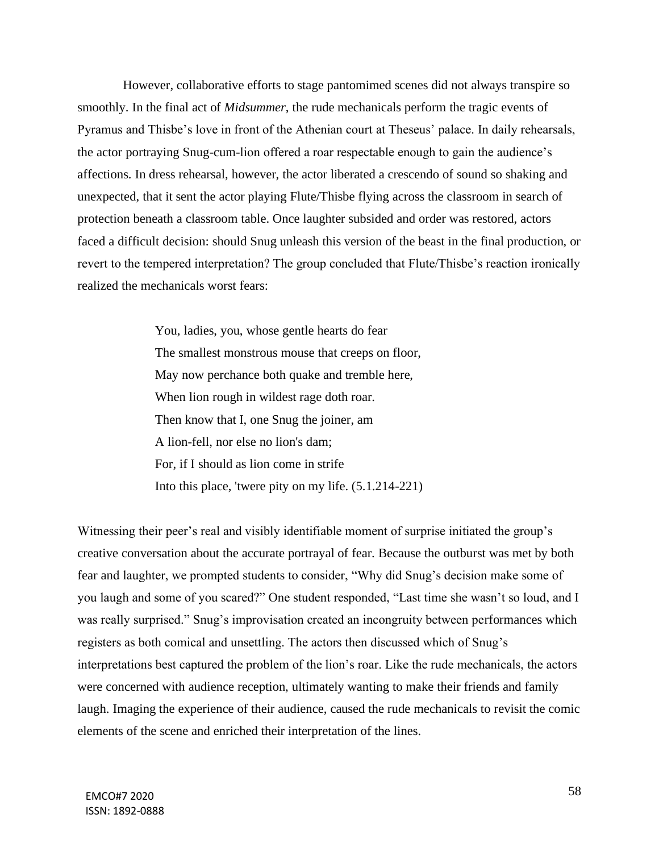However, collaborative efforts to stage pantomimed scenes did not always transpire so smoothly. In the final act of *Midsummer*, the rude mechanicals perform the tragic events of Pyramus and Thisbe's love in front of the Athenian court at Theseus' palace. In daily rehearsals, the actor portraying Snug-cum-lion offered a roar respectable enough to gain the audience's affections. In dress rehearsal, however, the actor liberated a crescendo of sound so shaking and unexpected, that it sent the actor playing Flute/Thisbe flying across the classroom in search of protection beneath a classroom table. Once laughter subsided and order was restored, actors faced a difficult decision: should Snug unleash this version of the beast in the final production, or revert to the tempered interpretation? The group concluded that Flute/Thisbe's reaction ironically realized the mechanicals worst fears:

> You, ladies, you, whose gentle hearts do fear The smallest monstrous mouse that creeps on floor, May now perchance both quake and tremble here, When lion rough in wildest rage doth roar. Then know that I, one Snug the joiner, am A lion-fell, nor else no lion's dam; For, if I should as lion come in strife Into this place, 'twere pity on my life. (5.1.214-221)

Witnessing their peer's real and visibly identifiable moment of surprise initiated the group's creative conversation about the accurate portrayal of fear. Because the outburst was met by both fear and laughter, we prompted students to consider, "Why did Snug's decision make some of you laugh and some of you scared?" One student responded, "Last time she wasn't so loud, and I was really surprised." Snug's improvisation created an incongruity between performances which registers as both comical and unsettling. The actors then discussed which of Snug's interpretations best captured the problem of the lion's roar. Like the rude mechanicals, the actors were concerned with audience reception, ultimately wanting to make their friends and family laugh. Imaging the experience of their audience, caused the rude mechanicals to revisit the comic elements of the scene and enriched their interpretation of the lines.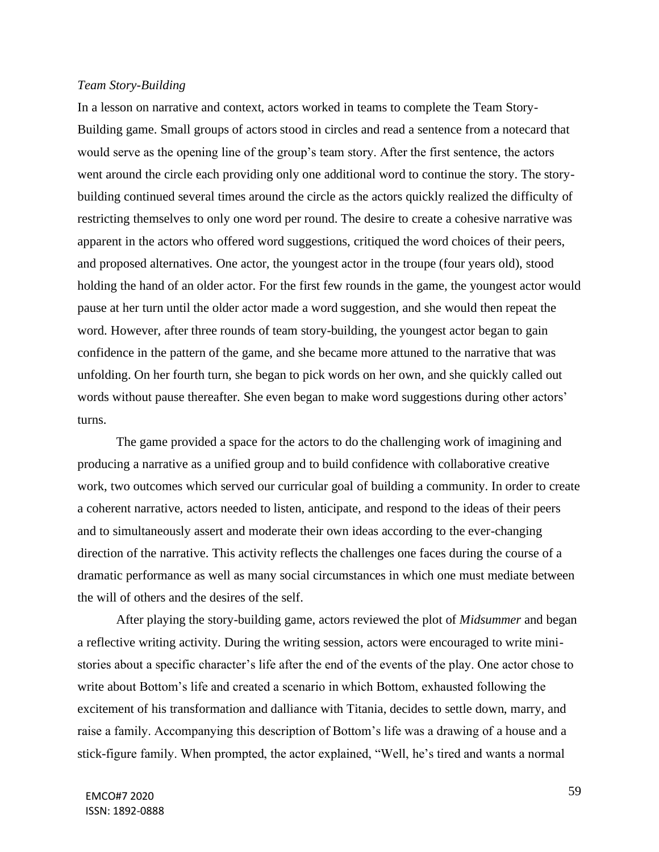### *Team Story-Building*

In a lesson on narrative and context, actors worked in teams to complete the Team Story-Building game. Small groups of actors stood in circles and read a sentence from a notecard that would serve as the opening line of the group's team story. After the first sentence, the actors went around the circle each providing only one additional word to continue the story. The storybuilding continued several times around the circle as the actors quickly realized the difficulty of restricting themselves to only one word per round. The desire to create a cohesive narrative was apparent in the actors who offered word suggestions, critiqued the word choices of their peers, and proposed alternatives. One actor, the youngest actor in the troupe (four years old), stood holding the hand of an older actor. For the first few rounds in the game, the youngest actor would pause at her turn until the older actor made a word suggestion, and she would then repeat the word. However, after three rounds of team story-building, the youngest actor began to gain confidence in the pattern of the game, and she became more attuned to the narrative that was unfolding. On her fourth turn, she began to pick words on her own, and she quickly called out words without pause thereafter. She even began to make word suggestions during other actors' turns.

The game provided a space for the actors to do the challenging work of imagining and producing a narrative as a unified group and to build confidence with collaborative creative work, two outcomes which served our curricular goal of building a community. In order to create a coherent narrative, actors needed to listen, anticipate, and respond to the ideas of their peers and to simultaneously assert and moderate their own ideas according to the ever-changing direction of the narrative. This activity reflects the challenges one faces during the course of a dramatic performance as well as many social circumstances in which one must mediate between the will of others and the desires of the self.

After playing the story-building game, actors reviewed the plot of *Midsummer* and began a reflective writing activity. During the writing session, actors were encouraged to write ministories about a specific character's life after the end of the events of the play. One actor chose to write about Bottom's life and created a scenario in which Bottom, exhausted following the excitement of his transformation and dalliance with Titania, decides to settle down, marry, and raise a family. Accompanying this description of Bottom's life was a drawing of a house and a stick-figure family. When prompted, the actor explained, "Well, he's tired and wants a normal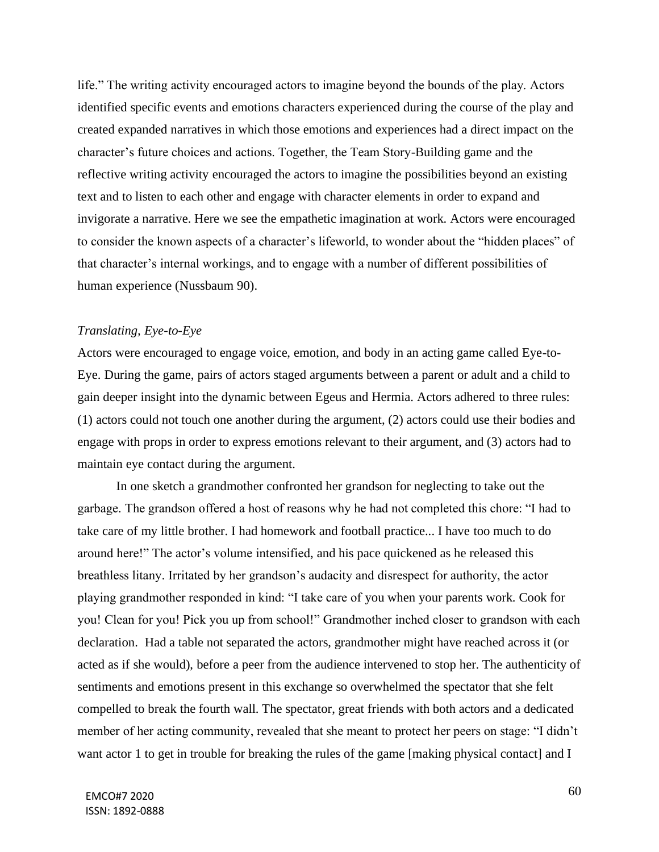life." The writing activity encouraged actors to imagine beyond the bounds of the play. Actors identified specific events and emotions characters experienced during the course of the play and created expanded narratives in which those emotions and experiences had a direct impact on the character's future choices and actions. Together, the Team Story-Building game and the reflective writing activity encouraged the actors to imagine the possibilities beyond an existing text and to listen to each other and engage with character elements in order to expand and invigorate a narrative. Here we see the empathetic imagination at work. Actors were encouraged to consider the known aspects of a character's lifeworld, to wonder about the "hidden places" of that character's internal workings, and to engage with a number of different possibilities of human experience (Nussbaum 90).

# *Translating, Eye-to-Eye*

Actors were encouraged to engage voice, emotion, and body in an acting game called Eye-to-Eye. During the game, pairs of actors staged arguments between a parent or adult and a child to gain deeper insight into the dynamic between Egeus and Hermia. Actors adhered to three rules: (1) actors could not touch one another during the argument, (2) actors could use their bodies and engage with props in order to express emotions relevant to their argument, and (3) actors had to maintain eye contact during the argument.

In one sketch a grandmother confronted her grandson for neglecting to take out the garbage. The grandson offered a host of reasons why he had not completed this chore: "I had to take care of my little brother. I had homework and football practice... I have too much to do around here!" The actor's volume intensified, and his pace quickened as he released this breathless litany. Irritated by her grandson's audacity and disrespect for authority, the actor playing grandmother responded in kind: "I take care of you when your parents work. Cook for you! Clean for you! Pick you up from school!" Grandmother inched closer to grandson with each declaration. Had a table not separated the actors, grandmother might have reached across it (or acted as if she would), before a peer from the audience intervened to stop her. The authenticity of sentiments and emotions present in this exchange so overwhelmed the spectator that she felt compelled to break the fourth wall. The spectator, great friends with both actors and a dedicated member of her acting community, revealed that she meant to protect her peers on stage: "I didn't want actor 1 to get in trouble for breaking the rules of the game [making physical contact] and I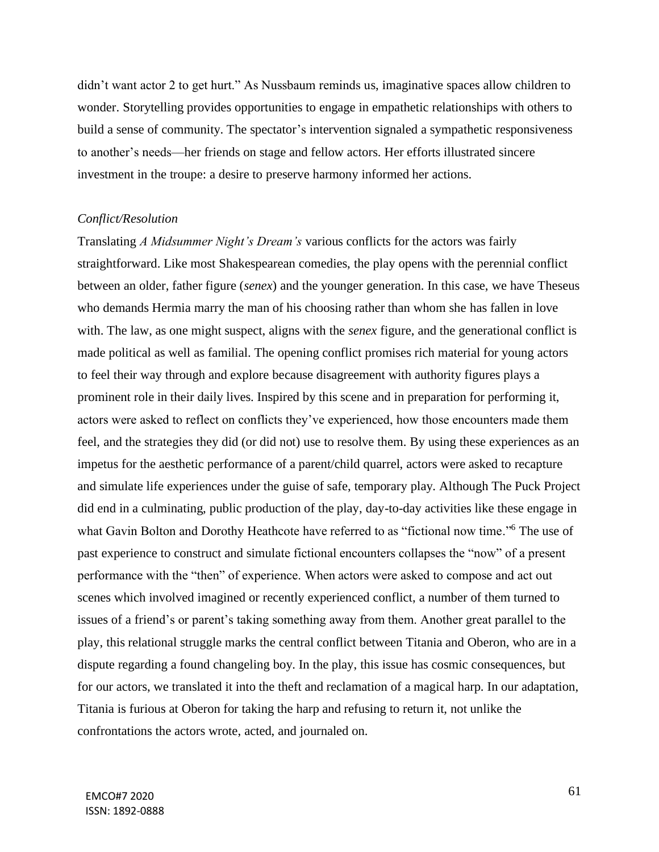didn't want actor 2 to get hurt." As Nussbaum reminds us, imaginative spaces allow children to wonder. Storytelling provides opportunities to engage in empathetic relationships with others to build a sense of community. The spectator's intervention signaled a sympathetic responsiveness to another's needs—her friends on stage and fellow actors. Her efforts illustrated sincere investment in the troupe: a desire to preserve harmony informed her actions.

## *Conflict/Resolution*

Translating *A Midsummer Night's Dream's* various conflicts for the actors was fairly straightforward. Like most Shakespearean comedies, the play opens with the perennial conflict between an older, father figure (*senex*) and the younger generation. In this case, we have Theseus who demands Hermia marry the man of his choosing rather than whom she has fallen in love with. The law, as one might suspect, aligns with the *senex* figure, and the generational conflict is made political as well as familial. The opening conflict promises rich material for young actors to feel their way through and explore because disagreement with authority figures plays a prominent role in their daily lives. Inspired by this scene and in preparation for performing it, actors were asked to reflect on conflicts they've experienced, how those encounters made them feel, and the strategies they did (or did not) use to resolve them. By using these experiences as an impetus for the aesthetic performance of a parent/child quarrel, actors were asked to recapture and simulate life experiences under the guise of safe, temporary play. Although The Puck Project did end in a culminating, public production of the play, day-to-day activities like these engage in what Gavin Bolton and Dorothy Heathcote have referred to as "fictional now time."<sup>6</sup> The use of past experience to construct and simulate fictional encounters collapses the "now" of a present performance with the "then" of experience. When actors were asked to compose and act out scenes which involved imagined or recently experienced conflict, a number of them turned to issues of a friend's or parent's taking something away from them. Another great parallel to the play, this relational struggle marks the central conflict between Titania and Oberon, who are in a dispute regarding a found changeling boy. In the play, this issue has cosmic consequences, but for our actors, we translated it into the theft and reclamation of a magical harp. In our adaptation, Titania is furious at Oberon for taking the harp and refusing to return it, not unlike the confrontations the actors wrote, acted, and journaled on.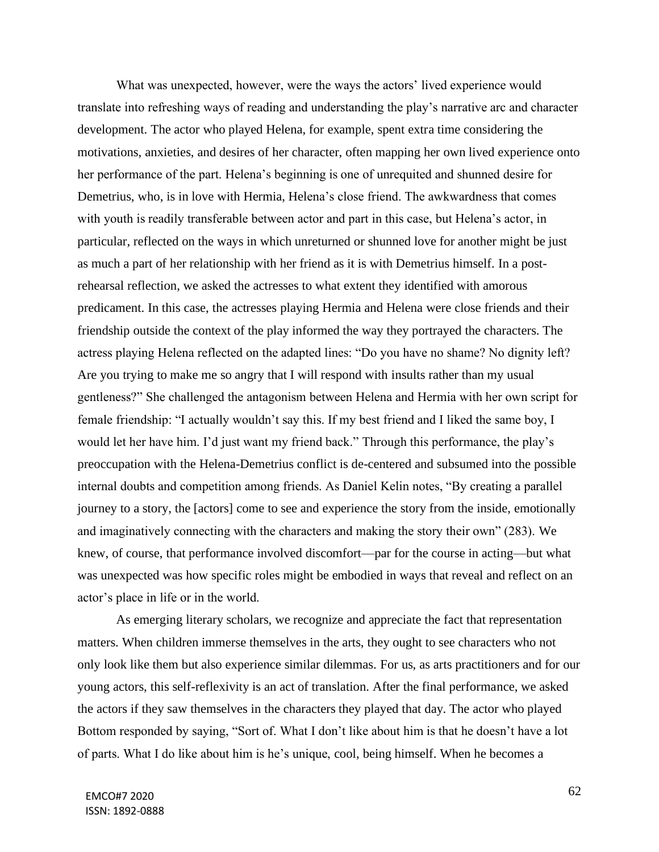What was unexpected, however, were the ways the actors' lived experience would translate into refreshing ways of reading and understanding the play's narrative arc and character development. The actor who played Helena, for example, spent extra time considering the motivations, anxieties, and desires of her character, often mapping her own lived experience onto her performance of the part. Helena's beginning is one of unrequited and shunned desire for Demetrius, who, is in love with Hermia, Helena's close friend. The awkwardness that comes with youth is readily transferable between actor and part in this case, but Helena's actor, in particular, reflected on the ways in which unreturned or shunned love for another might be just as much a part of her relationship with her friend as it is with Demetrius himself. In a postrehearsal reflection, we asked the actresses to what extent they identified with amorous predicament. In this case, the actresses playing Hermia and Helena were close friends and their friendship outside the context of the play informed the way they portrayed the characters. The actress playing Helena reflected on the adapted lines: "Do you have no shame? No dignity left? Are you trying to make me so angry that I will respond with insults rather than my usual gentleness?" She challenged the antagonism between Helena and Hermia with her own script for female friendship: "I actually wouldn't say this. If my best friend and I liked the same boy, I would let her have him. I'd just want my friend back." Through this performance, the play's preoccupation with the Helena-Demetrius conflict is de-centered and subsumed into the possible internal doubts and competition among friends. As Daniel Kelin notes, "By creating a parallel journey to a story, the [actors] come to see and experience the story from the inside, emotionally and imaginatively connecting with the characters and making the story their own" (283). We knew, of course, that performance involved discomfort—par for the course in acting—but what was unexpected was how specific roles might be embodied in ways that reveal and reflect on an actor's place in life or in the world.

As emerging literary scholars, we recognize and appreciate the fact that representation matters. When children immerse themselves in the arts, they ought to see characters who not only look like them but also experience similar dilemmas. For us, as arts practitioners and for our young actors, this self-reflexivity is an act of translation. After the final performance, we asked the actors if they saw themselves in the characters they played that day. The actor who played Bottom responded by saying, "Sort of. What I don't like about him is that he doesn't have a lot of parts. What I do like about him is he's unique, cool, being himself. When he becomes a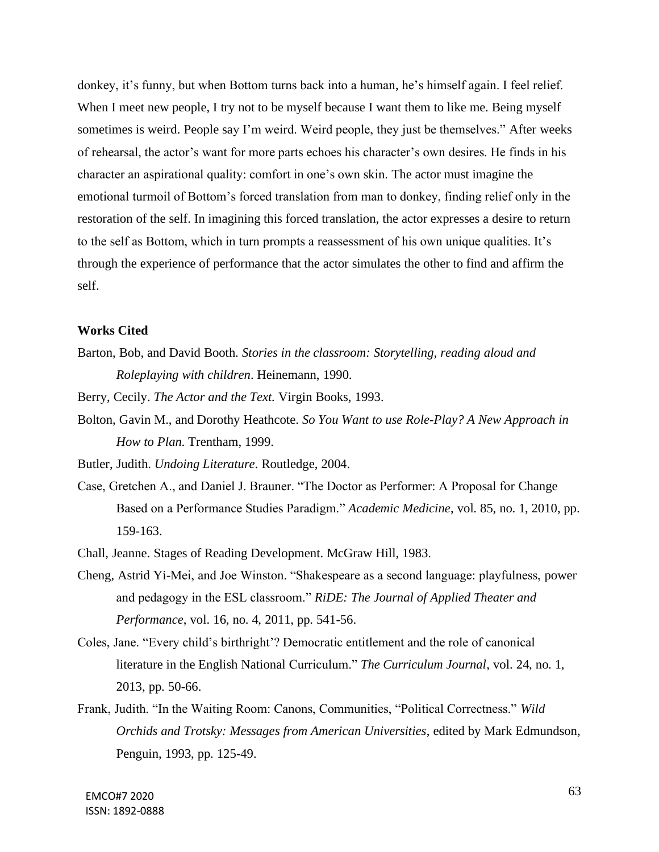donkey, it's funny, but when Bottom turns back into a human, he's himself again. I feel relief. When I meet new people, I try not to be myself because I want them to like me. Being myself sometimes is weird. People say I'm weird. Weird people, they just be themselves." After weeks of rehearsal, the actor's want for more parts echoes his character's own desires. He finds in his character an aspirational quality: comfort in one's own skin. The actor must imagine the emotional turmoil of Bottom's forced translation from man to donkey, finding relief only in the restoration of the self. In imagining this forced translation, the actor expresses a desire to return to the self as Bottom, which in turn prompts a reassessment of his own unique qualities. It's through the experience of performance that the actor simulates the other to find and affirm the self.

## **Works Cited**

Barton, Bob, and David Booth. *Stories in the classroom: Storytelling, reading aloud and Roleplaying with children*. Heinemann, 1990.

Berry, Cecily. *The Actor and the Text.* Virgin Books, 1993.

Bolton, Gavin M., and Dorothy Heathcote. *So You Want to use Role-Play? A New Approach in How to Plan*. Trentham, 1999.

Butler, Judith. *Undoing Literature*. Routledge, 2004.

- Case, Gretchen A., and Daniel J. Brauner. "The Doctor as Performer: A Proposal for Change Based on a Performance Studies Paradigm." *Academic Medicine*, vol. 85, no. 1, 2010, pp. 159-163.
- Chall, Jeanne. Stages of Reading Development. McGraw Hill, 1983.
- Cheng, Astrid Yi-Mei, and Joe Winston. "Shakespeare as a second language: playfulness, power and pedagogy in the ESL classroom." *RiDE: The Journal of Applied Theater and Performance*, vol. 16, no. 4, 2011, pp. 541-56.
- Coles, Jane. "Every child's birthright'? Democratic entitlement and the role of canonical literature in the English National Curriculum." *The Curriculum Journal*, vol. 24, no. 1, 2013, pp. 50-66.
- Frank, Judith. "In the Waiting Room: Canons, Communities, "Political Correctness." *Wild Orchids and Trotsky: Messages from American Universities*, edited by Mark Edmundson, Penguin, 1993, pp. 125-49.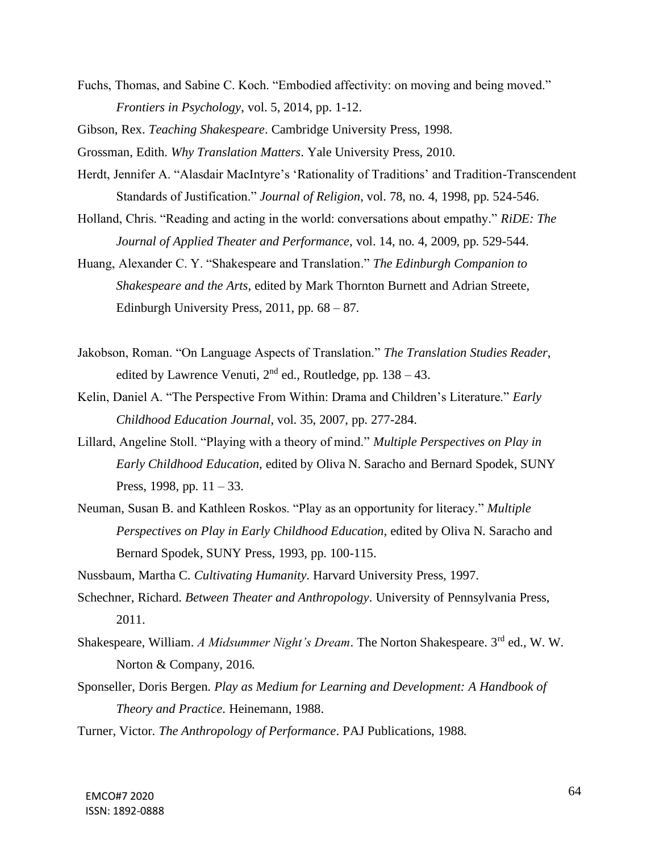Fuchs, Thomas, and Sabine C. Koch. "Embodied affectivity: on moving and being moved." *Frontiers in Psychology*, vol. 5, 2014, pp. 1-12.

Gibson, Rex. *Teaching Shakespeare*. Cambridge University Press, 1998.

Grossman, Edith. *Why Translation Matters*. Yale University Press, 2010.

- Herdt, Jennifer A. "Alasdair MacIntyre's 'Rationality of Traditions' and Tradition-Transcendent Standards of Justification." *Journal of Religion*, vol. 78, no. 4, 1998, pp. 524-546.
- Holland, Chris. "Reading and acting in the world: conversations about empathy." *RiDE: The Journal of Applied Theater and Performance*, vol. 14, no. 4, 2009, pp. 529-544.

Huang, Alexander C. Y. "Shakespeare and Translation." *The Edinburgh Companion to Shakespeare and the Arts*, edited by Mark Thornton Burnett and Adrian Streete, Edinburgh University Press,  $2011$ , pp.  $68 - 87$ .

- Jakobson, Roman. "On Language Aspects of Translation." *The Translation Studies Reader*, edited by Lawrence Venuti,  $2<sup>nd</sup>$  ed., Routledge, pp. 138 – 43.
- Kelin, Daniel A. "The Perspective From Within: Drama and Children's Literature." *Early Childhood Education Journal*, vol. 35, 2007, pp. 277-284.
- Lillard, Angeline Stoll. "Playing with a theory of mind." *Multiple Perspectives on Play in Early Childhood Education*, edited by Oliva N. Saracho and Bernard Spodek, SUNY Press, 1998, pp.  $11 - 33$ .
- Neuman, Susan B. and Kathleen Roskos. "Play as an opportunity for literacy." *Multiple Perspectives on Play in Early Childhood Education*, edited by Oliva N. Saracho and Bernard Spodek, SUNY Press, 1993, pp. 100-115.

Nussbaum, Martha C. *Cultivating Humanity*. Harvard University Press, 1997.

- Schechner, Richard. *Between Theater and Anthropology*. University of Pennsylvania Press, 2011.
- Shakespeare, William. *A Midsummer Night's Dream*. The Norton Shakespeare. 3<sup>rd</sup> ed., W. W. Norton & Company, 2016.
- Sponseller, Doris Bergen. *Play as Medium for Learning and Development: A Handbook of Theory and Practice*. Heinemann, 1988.

Turner, Victor. *The Anthropology of Performance*. PAJ Publications, 1988.